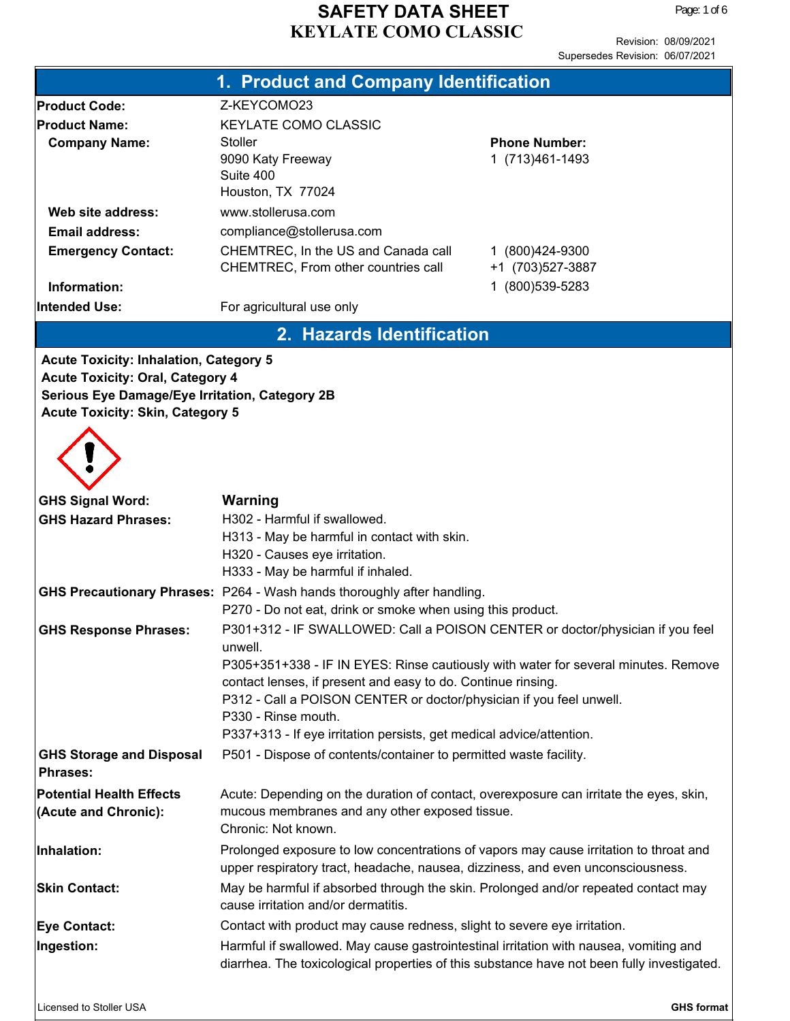Revision: 08/09/2021 Supersedes Revision: 06/07/2021

|                                                | 1. Product and Company Identification                                                                                     |                      |  |
|------------------------------------------------|---------------------------------------------------------------------------------------------------------------------------|----------------------|--|
| <b>Product Code:</b>                           | Z-KEYCOMO23                                                                                                               |                      |  |
| <b>Product Name:</b>                           | <b>KEYLATE COMO CLASSIC</b>                                                                                               |                      |  |
| <b>Company Name:</b>                           | <b>Stoller</b>                                                                                                            | <b>Phone Number:</b> |  |
|                                                | 9090 Katy Freeway                                                                                                         | 1 (713) 461-1493     |  |
|                                                | Suite 400<br>Houston, TX 77024                                                                                            |                      |  |
| Web site address:                              | www.stollerusa.com                                                                                                        |                      |  |
| Email address:                                 | compliance@stollerusa.com                                                                                                 |                      |  |
| <b>Emergency Contact:</b>                      | CHEMTREC, In the US and Canada call                                                                                       | 1 (800) 424-9300     |  |
|                                                | CHEMTREC, From other countries call                                                                                       | +1 (703) 527-3887    |  |
| Information:                                   |                                                                                                                           | 1 (800) 539-5283     |  |
| <b>Intended Use:</b>                           | For agricultural use only                                                                                                 |                      |  |
|                                                | 2. Hazards Identification                                                                                                 |                      |  |
| <b>Acute Toxicity: Inhalation, Category 5</b>  |                                                                                                                           |                      |  |
| <b>Acute Toxicity: Oral, Category 4</b>        |                                                                                                                           |                      |  |
| Serious Eye Damage/Eye Irritation, Category 2B |                                                                                                                           |                      |  |
| <b>Acute Toxicity: Skin, Category 5</b>        |                                                                                                                           |                      |  |
|                                                |                                                                                                                           |                      |  |
|                                                |                                                                                                                           |                      |  |
|                                                |                                                                                                                           |                      |  |
| <b>GHS Signal Word:</b>                        | Warning                                                                                                                   |                      |  |
| <b>GHS Hazard Phrases:</b>                     | H302 - Harmful if swallowed.                                                                                              |                      |  |
|                                                | H313 - May be harmful in contact with skin.                                                                               |                      |  |
|                                                | H320 - Causes eye irritation.                                                                                             |                      |  |
|                                                | H333 - May be harmful if inhaled.                                                                                         |                      |  |
|                                                | GHS Precautionary Phrases: P264 - Wash hands thoroughly after handling.                                                   |                      |  |
|                                                | P270 - Do not eat, drink or smoke when using this product.                                                                |                      |  |
| <b>GHS Response Phrases:</b>                   | P301+312 - IF SWALLOWED: Call a POISON CENTER or doctor/physician if you feel<br>unwell.                                  |                      |  |
|                                                | P305+351+338 - IF IN EYES: Rinse cautiously with water for several minutes. Remove                                        |                      |  |
|                                                | contact lenses, if present and easy to do. Continue rinsing.                                                              |                      |  |
|                                                | P312 - Call a POISON CENTER or doctor/physician if you feel unwell.                                                       |                      |  |
|                                                | P330 - Rinse mouth.                                                                                                       |                      |  |
|                                                | P337+313 - If eye irritation persists, get medical advice/attention.                                                      |                      |  |
| <b>GHS Storage and Disposal</b>                | P501 - Dispose of contents/container to permitted waste facility.                                                         |                      |  |
| <b>Phrases:</b>                                |                                                                                                                           |                      |  |
| <b>Potential Health Effects</b>                | Acute: Depending on the duration of contact, overexposure can irritate the eyes, skin,                                    |                      |  |
| (Acute and Chronic):                           | mucous membranes and any other exposed tissue.                                                                            |                      |  |
|                                                | Chronic: Not known.                                                                                                       |                      |  |
| Inhalation:                                    | Prolonged exposure to low concentrations of vapors may cause irritation to throat and                                     |                      |  |
|                                                | upper respiratory tract, headache, nausea, dizziness, and even unconsciousness.                                           |                      |  |
| <b>Skin Contact:</b>                           | May be harmful if absorbed through the skin. Prolonged and/or repeated contact may<br>cause irritation and/or dermatitis. |                      |  |
| <b>Eye Contact:</b>                            | Contact with product may cause redness, slight to severe eye irritation.                                                  |                      |  |
| Ingestion:                                     | Harmful if swallowed. May cause gastrointestinal irritation with nausea, vomiting and                                     |                      |  |
|                                                | diarrhea. The toxicological properties of this substance have not been fully investigated.                                |                      |  |
|                                                |                                                                                                                           |                      |  |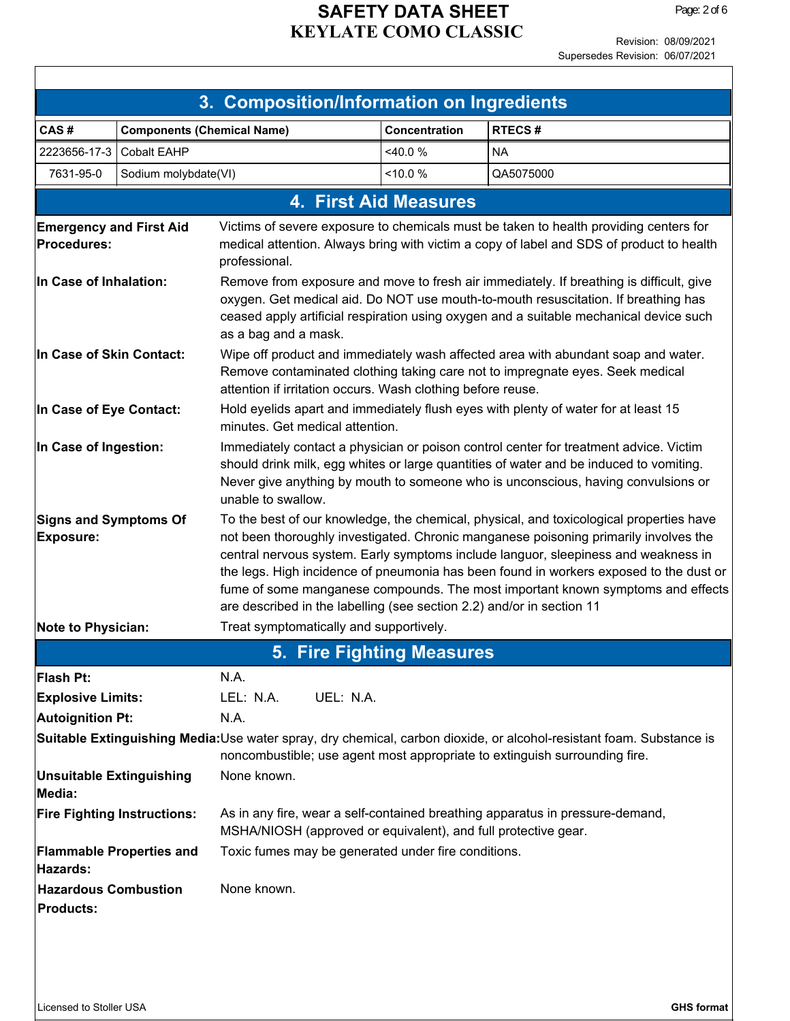Revision: 08/09/2021

|                                                  |                                    |                                                                                                                                                                                                                                                                                                                                                                                                                                                                                                                             |                              | Supersedes Revision: 06/07/2021                                                       |
|--------------------------------------------------|------------------------------------|-----------------------------------------------------------------------------------------------------------------------------------------------------------------------------------------------------------------------------------------------------------------------------------------------------------------------------------------------------------------------------------------------------------------------------------------------------------------------------------------------------------------------------|------------------------------|---------------------------------------------------------------------------------------|
|                                                  |                                    |                                                                                                                                                                                                                                                                                                                                                                                                                                                                                                                             |                              |                                                                                       |
|                                                  |                                    | 3. Composition/Information on Ingredients                                                                                                                                                                                                                                                                                                                                                                                                                                                                                   |                              |                                                                                       |
| CAS#                                             | <b>Components (Chemical Name)</b>  |                                                                                                                                                                                                                                                                                                                                                                                                                                                                                                                             | Concentration                | <b>RTECS#</b>                                                                         |
| 2223656-17-3                                     | <b>Cobalt EAHP</b>                 |                                                                                                                                                                                                                                                                                                                                                                                                                                                                                                                             | <40.0 %                      | <b>NA</b>                                                                             |
| 7631-95-0                                        | Sodium molybdate(VI)               |                                                                                                                                                                                                                                                                                                                                                                                                                                                                                                                             | <10.0 %                      | QA5075000                                                                             |
|                                                  |                                    |                                                                                                                                                                                                                                                                                                                                                                                                                                                                                                                             | <b>4. First Aid Measures</b> |                                                                                       |
| <b>Emergency and First Aid</b>                   |                                    |                                                                                                                                                                                                                                                                                                                                                                                                                                                                                                                             |                              | Victims of severe exposure to chemicals must be taken to health providing centers for |
| Procedures:                                      |                                    | medical attention. Always bring with victim a copy of label and SDS of product to health<br>professional.                                                                                                                                                                                                                                                                                                                                                                                                                   |                              |                                                                                       |
| In Case of Inhalation:                           |                                    | Remove from exposure and move to fresh air immediately. If breathing is difficult, give<br>oxygen. Get medical aid. Do NOT use mouth-to-mouth resuscitation. If breathing has<br>ceased apply artificial respiration using oxygen and a suitable mechanical device such<br>as a bag and a mask.                                                                                                                                                                                                                             |                              |                                                                                       |
| In Case of Skin Contact:                         |                                    | Wipe off product and immediately wash affected area with abundant soap and water.<br>Remove contaminated clothing taking care not to impregnate eyes. Seek medical<br>attention if irritation occurs. Wash clothing before reuse.                                                                                                                                                                                                                                                                                           |                              |                                                                                       |
| In Case of Eye Contact:                          |                                    | Hold eyelids apart and immediately flush eyes with plenty of water for at least 15<br>minutes. Get medical attention.                                                                                                                                                                                                                                                                                                                                                                                                       |                              |                                                                                       |
| In Case of Ingestion:                            |                                    | Immediately contact a physician or poison control center for treatment advice. Victim<br>should drink milk, egg whites or large quantities of water and be induced to vomiting.<br>Never give anything by mouth to someone who is unconscious, having convulsions or<br>unable to swallow.                                                                                                                                                                                                                                  |                              |                                                                                       |
| <b>Signs and Symptoms Of</b><br><b>Exposure:</b> |                                    | To the best of our knowledge, the chemical, physical, and toxicological properties have<br>not been thoroughly investigated. Chronic manganese poisoning primarily involves the<br>central nervous system. Early symptoms include languor, sleepiness and weakness in<br>the legs. High incidence of pneumonia has been found in workers exposed to the dust or<br>fume of some manganese compounds. The most important known symptoms and effects<br>are described in the labelling (see section 2.2) and/or in section 11 |                              |                                                                                       |
| <b>Note to Physician:</b>                        |                                    | Treat symptomatically and supportively.                                                                                                                                                                                                                                                                                                                                                                                                                                                                                     |                              |                                                                                       |
|                                                  |                                    |                                                                                                                                                                                                                                                                                                                                                                                                                                                                                                                             | 5. Fire Fighting Measures    |                                                                                       |
| Flash Pt:                                        |                                    | N.A.                                                                                                                                                                                                                                                                                                                                                                                                                                                                                                                        |                              |                                                                                       |
| <b>Explosive Limits:</b>                         |                                    | UEL: N.A.<br>LEL: N.A.                                                                                                                                                                                                                                                                                                                                                                                                                                                                                                      |                              |                                                                                       |
| <b>Autoignition Pt:</b>                          |                                    | N.A.                                                                                                                                                                                                                                                                                                                                                                                                                                                                                                                        |                              |                                                                                       |
|                                                  |                                    | Suitable Extinguishing Media:Use water spray, dry chemical, carbon dioxide, or alcohol-resistant foam. Substance is<br>noncombustible; use agent most appropriate to extinguish surrounding fire.                                                                                                                                                                                                                                                                                                                           |                              |                                                                                       |
| <b>Unsuitable Extinguishing</b><br>Media:        |                                    | None known.                                                                                                                                                                                                                                                                                                                                                                                                                                                                                                                 |                              |                                                                                       |
|                                                  | <b>Fire Fighting Instructions:</b> | As in any fire, wear a self-contained breathing apparatus in pressure-demand,<br>MSHA/NIOSH (approved or equivalent), and full protective gear.                                                                                                                                                                                                                                                                                                                                                                             |                              |                                                                                       |
| Hazards:                                         | <b>Flammable Properties and</b>    | Toxic fumes may be generated under fire conditions.                                                                                                                                                                                                                                                                                                                                                                                                                                                                         |                              |                                                                                       |
| <b>Hazardous Combustion</b><br><b>Products:</b>  |                                    | None known.                                                                                                                                                                                                                                                                                                                                                                                                                                                                                                                 |                              |                                                                                       |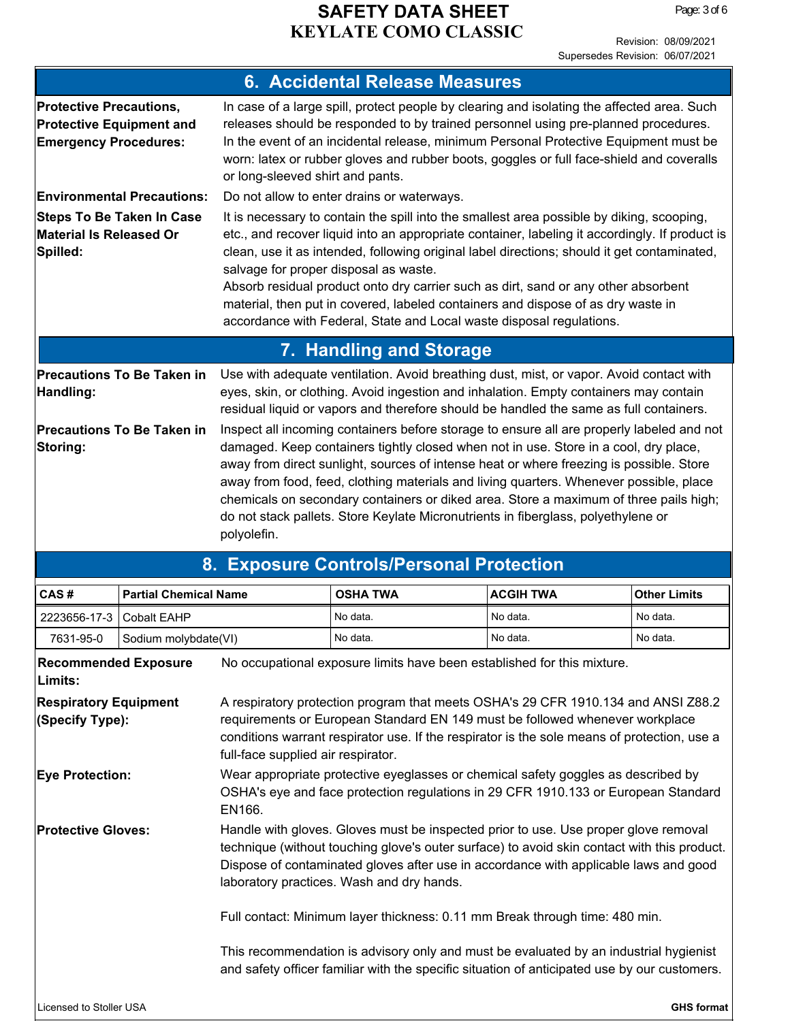Revision: 08/09/2021 Supersedes Revision: 06/07/2021

|                                                                                                   | <b>6. Accidental Release Measures</b>                                                                                                                                                                                                                                                                                                                                                                                                                                                                                                                                                 |                  |                     |
|---------------------------------------------------------------------------------------------------|---------------------------------------------------------------------------------------------------------------------------------------------------------------------------------------------------------------------------------------------------------------------------------------------------------------------------------------------------------------------------------------------------------------------------------------------------------------------------------------------------------------------------------------------------------------------------------------|------------------|---------------------|
| <b>Protective Precautions,</b><br><b>Protective Equipment and</b><br><b>Emergency Procedures:</b> | In case of a large spill, protect people by clearing and isolating the affected area. Such<br>releases should be responded to by trained personnel using pre-planned procedures.<br>In the event of an incidental release, minimum Personal Protective Equipment must be<br>worn: latex or rubber gloves and rubber boots, goggles or full face-shield and coveralls<br>or long-sleeved shirt and pants.                                                                                                                                                                              |                  |                     |
| <b>Environmental Precautions:</b>                                                                 | Do not allow to enter drains or waterways.                                                                                                                                                                                                                                                                                                                                                                                                                                                                                                                                            |                  |                     |
| <b>Steps To Be Taken In Case</b><br>Material Is Released Or<br>Spilled:                           | It is necessary to contain the spill into the smallest area possible by diking, scooping,<br>etc., and recover liquid into an appropriate container, labeling it accordingly. If product is<br>clean, use it as intended, following original label directions; should it get contaminated,<br>salvage for proper disposal as waste.<br>Absorb residual product onto dry carrier such as dirt, sand or any other absorbent<br>material, then put in covered, labeled containers and dispose of as dry waste in<br>accordance with Federal, State and Local waste disposal regulations. |                  |                     |
|                                                                                                   | 7. Handling and Storage                                                                                                                                                                                                                                                                                                                                                                                                                                                                                                                                                               |                  |                     |
| <b>Precautions To Be Taken in</b><br>Handling:                                                    | Use with adequate ventilation. Avoid breathing dust, mist, or vapor. Avoid contact with<br>eyes, skin, or clothing. Avoid ingestion and inhalation. Empty containers may contain<br>residual liquid or vapors and therefore should be handled the same as full containers.                                                                                                                                                                                                                                                                                                            |                  |                     |
| <b>Precautions To Be Taken in</b><br>Storing:                                                     | Inspect all incoming containers before storage to ensure all are properly labeled and not<br>damaged. Keep containers tightly closed when not in use. Store in a cool, dry place,<br>away from direct sunlight, sources of intense heat or where freezing is possible. Store<br>away from food, feed, clothing materials and living quarters. Whenever possible, place<br>chemicals on secondary containers or diked area. Store a maximum of three pails high;<br>do not stack pallets. Store Keylate Micronutrients in fiberglass, polyethylene or<br>polyolefin.                   |                  |                     |
|                                                                                                   | 8. Exposure Controls/Personal Protection                                                                                                                                                                                                                                                                                                                                                                                                                                                                                                                                              |                  |                     |
| CAS#<br><b>Partial Chemical Name</b>                                                              | <b>OSHA TWA</b>                                                                                                                                                                                                                                                                                                                                                                                                                                                                                                                                                                       | <b>ACGIH TWA</b> | <b>Other Limits</b> |

| 2223656-17-3                                    | <b>Cobalt EAHP</b>   |                                                                                                                                                                                                                                                                                                                         | No data.                                                                                                                                                                              | No data. | No data. |  |
|-------------------------------------------------|----------------------|-------------------------------------------------------------------------------------------------------------------------------------------------------------------------------------------------------------------------------------------------------------------------------------------------------------------------|---------------------------------------------------------------------------------------------------------------------------------------------------------------------------------------|----------|----------|--|
| 7631-95-0                                       | Sodium molybdate(VI) |                                                                                                                                                                                                                                                                                                                         | No data.                                                                                                                                                                              | No data. | No data. |  |
| <b>Recommended Exposure</b><br>Limits:          |                      |                                                                                                                                                                                                                                                                                                                         | No occupational exposure limits have been established for this mixture.                                                                                                               |          |          |  |
| <b>Respiratory Equipment</b><br>(Specify Type): |                      | A respiratory protection program that meets OSHA's 29 CFR 1910.134 and ANSI Z88.2<br>requirements or European Standard EN 149 must be followed whenever workplace<br>conditions warrant respirator use. If the respirator is the sole means of protection, use a<br>full-face supplied air respirator.                  |                                                                                                                                                                                       |          |          |  |
| <b>Eye Protection:</b>                          |                      | Wear appropriate protective eyeglasses or chemical safety goggles as described by<br>OSHA's eye and face protection regulations in 29 CFR 1910.133 or European Standard<br>EN166.                                                                                                                                       |                                                                                                                                                                                       |          |          |  |
| <b>Protective Gloves:</b>                       |                      | Handle with gloves. Gloves must be inspected prior to use. Use proper glove removal<br>technique (without touching glove's outer surface) to avoid skin contact with this product.<br>Dispose of contaminated gloves after use in accordance with applicable laws and good<br>laboratory practices. Wash and dry hands. |                                                                                                                                                                                       |          |          |  |
|                                                 |                      |                                                                                                                                                                                                                                                                                                                         | Full contact: Minimum layer thickness: 0.11 mm Break through time: 480 min.                                                                                                           |          |          |  |
|                                                 |                      |                                                                                                                                                                                                                                                                                                                         | This recommendation is advisory only and must be evaluated by an industrial hygienist<br>and safety officer familiar with the specific situation of anticipated use by our customers. |          |          |  |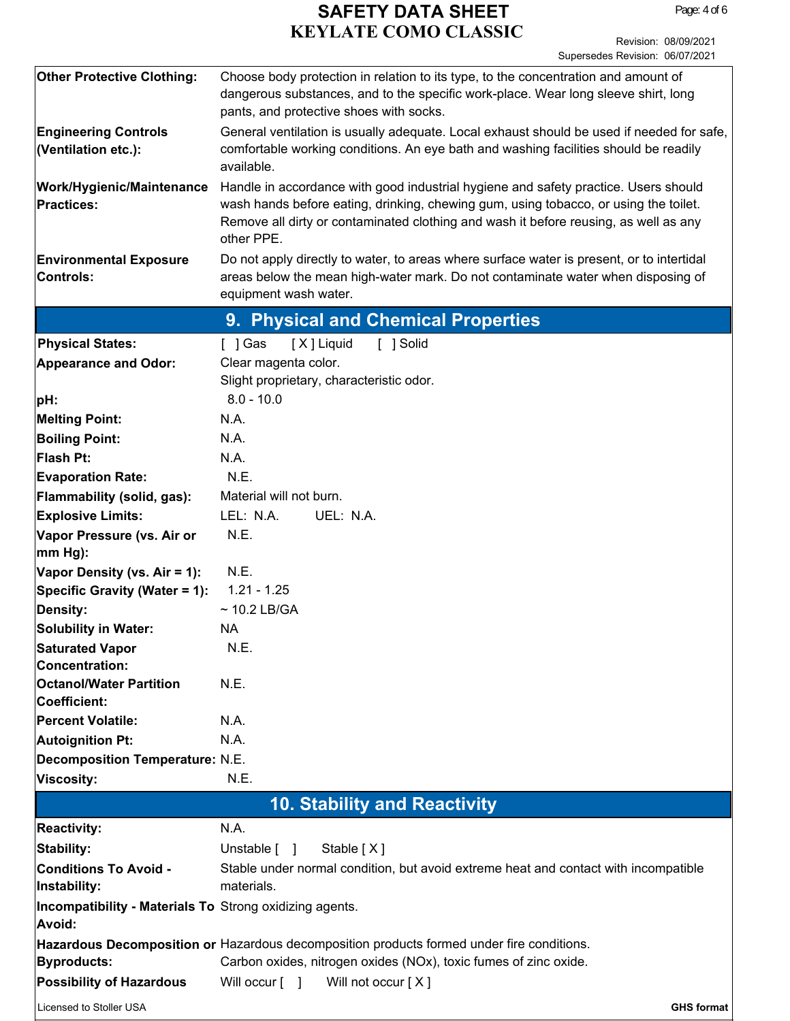| <b>Other Protective Clothing:</b>                                        | Choose body protection in relation to its type, to the concentration and amount of<br>dangerous substances, and to the specific work-place. Wear long sleeve shirt, long<br>pants, and protective shoes with socks.                                                               |  |  |  |
|--------------------------------------------------------------------------|-----------------------------------------------------------------------------------------------------------------------------------------------------------------------------------------------------------------------------------------------------------------------------------|--|--|--|
| <b>Engineering Controls</b><br>(Ventilation etc.):                       | General ventilation is usually adequate. Local exhaust should be used if needed for safe,<br>comfortable working conditions. An eye bath and washing facilities should be readily<br>available.                                                                                   |  |  |  |
| <b>Work/Hygienic/Maintenance</b><br><b>Practices:</b>                    | Handle in accordance with good industrial hygiene and safety practice. Users should<br>wash hands before eating, drinking, chewing gum, using tobacco, or using the toilet.<br>Remove all dirty or contaminated clothing and wash it before reusing, as well as any<br>other PPE. |  |  |  |
| <b>Environmental Exposure</b><br><b>Controls:</b>                        | Do not apply directly to water, to areas where surface water is present, or to intertidal<br>areas below the mean high-water mark. Do not contaminate water when disposing of<br>equipment wash water.                                                                            |  |  |  |
|                                                                          | 9. Physical and Chemical Properties                                                                                                                                                                                                                                               |  |  |  |
| <b>Physical States:</b>                                                  | [X] Liquid<br>[ ] Solid<br>[ ] Gas                                                                                                                                                                                                                                                |  |  |  |
| <b>Appearance and Odor:</b>                                              | Clear magenta color.<br>Slight proprietary, characteristic odor.                                                                                                                                                                                                                  |  |  |  |
| pH:                                                                      | $8.0 - 10.0$                                                                                                                                                                                                                                                                      |  |  |  |
| <b>Melting Point:</b>                                                    | N.A.                                                                                                                                                                                                                                                                              |  |  |  |
| <b>Boiling Point:</b>                                                    | N.A.                                                                                                                                                                                                                                                                              |  |  |  |
| <b>Flash Pt:</b>                                                         | N.A.                                                                                                                                                                                                                                                                              |  |  |  |
| <b>Evaporation Rate:</b>                                                 | N.E.                                                                                                                                                                                                                                                                              |  |  |  |
| Flammability (solid, gas):                                               | Material will not burn.                                                                                                                                                                                                                                                           |  |  |  |
| <b>Explosive Limits:</b>                                                 | LEL: N.A.<br>UEL: N.A.                                                                                                                                                                                                                                                            |  |  |  |
| Vapor Pressure (vs. Air or                                               | N.E.                                                                                                                                                                                                                                                                              |  |  |  |
| mm Hg):                                                                  |                                                                                                                                                                                                                                                                                   |  |  |  |
| Vapor Density (vs. Air = 1):                                             | N.E.                                                                                                                                                                                                                                                                              |  |  |  |
| Specific Gravity (Water = 1):                                            | $1.21 - 1.25$                                                                                                                                                                                                                                                                     |  |  |  |
| Density:                                                                 | $\sim$ 10.2 LB/GA                                                                                                                                                                                                                                                                 |  |  |  |
| <b>Solubility in Water:</b>                                              | <b>NA</b>                                                                                                                                                                                                                                                                         |  |  |  |
| <b>Saturated Vapor</b>                                                   | N.E.                                                                                                                                                                                                                                                                              |  |  |  |
| <b>Concentration:</b>                                                    |                                                                                                                                                                                                                                                                                   |  |  |  |
| <b>Octanol/Water Partition</b><br><b>Coefficient:</b>                    | N.E.                                                                                                                                                                                                                                                                              |  |  |  |
| <b>Percent Volatile:</b>                                                 | N.A.                                                                                                                                                                                                                                                                              |  |  |  |
| Autoignition Pt:                                                         | N.A.                                                                                                                                                                                                                                                                              |  |  |  |
| <b>Decomposition Temperature: N.E.</b>                                   |                                                                                                                                                                                                                                                                                   |  |  |  |
| Viscosity:                                                               | N.E.                                                                                                                                                                                                                                                                              |  |  |  |
| <b>10. Stability and Reactivity</b>                                      |                                                                                                                                                                                                                                                                                   |  |  |  |
| <b>Reactivity:</b>                                                       | N.A.                                                                                                                                                                                                                                                                              |  |  |  |
| Stability:                                                               | Unstable $\begin{bmatrix} \quad \end{bmatrix}$<br>Stable [X]                                                                                                                                                                                                                      |  |  |  |
| <b>Conditions To Avoid -</b><br>Instability:                             | Stable under normal condition, but avoid extreme heat and contact with incompatible<br>materials.                                                                                                                                                                                 |  |  |  |
| <b>Incompatibility - Materials To Strong oxidizing agents.</b><br>Avoid: |                                                                                                                                                                                                                                                                                   |  |  |  |
|                                                                          | Hazardous Decomposition or Hazardous decomposition products formed under fire conditions.                                                                                                                                                                                         |  |  |  |
| <b>Byproducts:</b>                                                       | Carbon oxides, nitrogen oxides (NOx), toxic fumes of zinc oxide.                                                                                                                                                                                                                  |  |  |  |
| <b>Possibility of Hazardous</b>                                          | Will occur [ ]<br>Will not occur [X]                                                                                                                                                                                                                                              |  |  |  |
| Licensed to Stoller USA                                                  | <b>GHS format</b>                                                                                                                                                                                                                                                                 |  |  |  |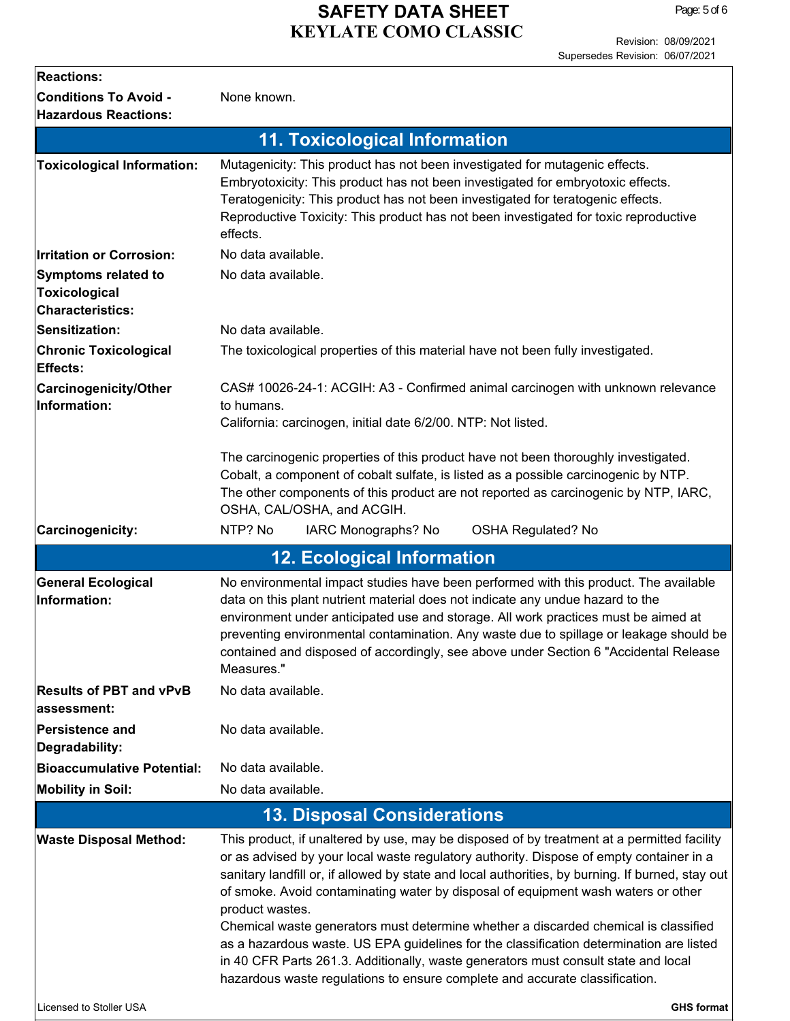Page: 5 of 6

| <b>Reactions:</b>                                               |                                                                                                                                                                                                                                                                                                                                                                                                                                                                  |  |  |
|-----------------------------------------------------------------|------------------------------------------------------------------------------------------------------------------------------------------------------------------------------------------------------------------------------------------------------------------------------------------------------------------------------------------------------------------------------------------------------------------------------------------------------------------|--|--|
| <b>Conditions To Avoid -</b><br><b>Hazardous Reactions:</b>     | None known.                                                                                                                                                                                                                                                                                                                                                                                                                                                      |  |  |
|                                                                 | <b>11. Toxicological Information</b>                                                                                                                                                                                                                                                                                                                                                                                                                             |  |  |
| <b>Toxicological Information:</b>                               | Mutagenicity: This product has not been investigated for mutagenic effects.<br>Embryotoxicity: This product has not been investigated for embryotoxic effects.<br>Teratogenicity: This product has not been investigated for teratogenic effects.<br>Reproductive Toxicity: This product has not been investigated for toxic reproductive<br>effects.                                                                                                            |  |  |
| <b>Irritation or Corrosion:</b>                                 | No data available.                                                                                                                                                                                                                                                                                                                                                                                                                                               |  |  |
| <b>Symptoms related to</b><br>Toxicological<br>Characteristics: | No data available.                                                                                                                                                                                                                                                                                                                                                                                                                                               |  |  |
| Sensitization:                                                  | No data available.                                                                                                                                                                                                                                                                                                                                                                                                                                               |  |  |
| <b>Chronic Toxicological</b><br>Effects:                        | The toxicological properties of this material have not been fully investigated.                                                                                                                                                                                                                                                                                                                                                                                  |  |  |
| Carcinogenicity/Other<br>Information:                           | CAS# 10026-24-1: ACGIH: A3 - Confirmed animal carcinogen with unknown relevance<br>to humans.<br>California: carcinogen, initial date 6/2/00. NTP: Not listed.<br>The carcinogenic properties of this product have not been thoroughly investigated.<br>Cobalt, a component of cobalt sulfate, is listed as a possible carcinogenic by NTP.<br>The other components of this product are not reported as carcinogenic by NTP, IARC,<br>OSHA, CAL/OSHA, and ACGIH. |  |  |
|                                                                 |                                                                                                                                                                                                                                                                                                                                                                                                                                                                  |  |  |
| Carcinogenicity:                                                | NTP? No<br>IARC Monographs? No<br><b>OSHA Regulated? No</b>                                                                                                                                                                                                                                                                                                                                                                                                      |  |  |
|                                                                 | <b>12. Ecological Information</b>                                                                                                                                                                                                                                                                                                                                                                                                                                |  |  |
| <b>General Ecological</b><br>Information:                       | No environmental impact studies have been performed with this product. The available<br>data on this plant nutrient material does not indicate any undue hazard to the<br>environment under anticipated use and storage. All work practices must be aimed at<br>preventing environmental contamination. Any waste due to spillage or leakage should be<br>contained and disposed of accordingly, see above under Section 6 "Accidental Release<br>Measures."     |  |  |
| <b>Results of PBT and vPvB</b><br>lassessment:                  | No data available.                                                                                                                                                                                                                                                                                                                                                                                                                                               |  |  |
| <b>Persistence and</b><br>Degradability:                        | No data available.                                                                                                                                                                                                                                                                                                                                                                                                                                               |  |  |
| Bioaccumulative Potential:                                      | No data available.                                                                                                                                                                                                                                                                                                                                                                                                                                               |  |  |
| <b>Mobility in Soil:</b>                                        | No data available.                                                                                                                                                                                                                                                                                                                                                                                                                                               |  |  |
|                                                                 | <b>13. Disposal Considerations</b>                                                                                                                                                                                                                                                                                                                                                                                                                               |  |  |
| <b>Waste Disposal Method:</b>                                   | This product, if unaltered by use, may be disposed of by treatment at a permitted facility<br>or as advised by your local waste regulatory authority. Dispose of empty container in a<br>sanitary landfill or, if allowed by state and local authorities, by burning. If burned, stay out<br>of smoke. Avoid contaminating water by disposal of equipment wash waters or other<br>product wastes.                                                                |  |  |
|                                                                 | Chemical waste generators must determine whether a discarded chemical is classified                                                                                                                                                                                                                                                                                                                                                                              |  |  |
| Licensed to Stoller USA                                         | as a hazardous waste. US EPA guidelines for the classification determination are listed<br>in 40 CFR Parts 261.3. Additionally, waste generators must consult state and local<br>hazardous waste regulations to ensure complete and accurate classification.                                                                                                                                                                                                     |  |  |